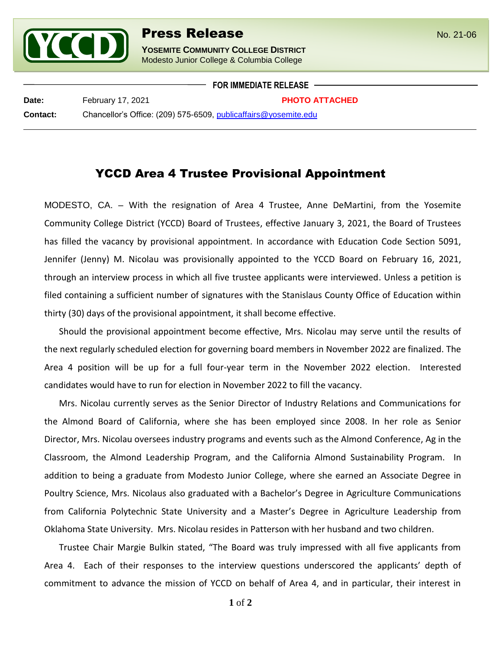

## **Press Release** No. 21-06

**YOSEMITE COMMUNITY COLLEGE DISTRICT** Modesto Junior College & Columbia College

**FOR IMMEDIATE RELEASE**

l

**Date: PHOTO ATTACHED Contact:** Chancellor's Office: (209) 575-6509, [publicaffairs@yosemite.edu](mailto:publicaffairs@yosemite.edu)

## YCCD Area 4 Trustee Provisional Appointment

MODESTO, CA. – With the resignation of Area 4 Trustee, Anne DeMartini, from the Yosemite Community College District (YCCD) Board of Trustees, effective January 3, 2021, the Board of Trustees has filled the vacancy by provisional appointment. In accordance with Education Code Section 5091, Jennifer (Jenny) M. Nicolau was provisionally appointed to the YCCD Board on February 16, 2021, through an interview process in which all five trustee applicants were interviewed. Unless a petition is filed containing a sufficient number of signatures with the Stanislaus County Office of Education within thirty (30) days of the provisional appointment, it shall become effective.

Should the provisional appointment become effective, Mrs. Nicolau may serve until the results of the next regularly scheduled election for governing board members in November 2022 are finalized. The Area 4 position will be up for a full four-year term in the November 2022 election. Interested candidates would have to run for election in November 2022 to fill the vacancy.

Mrs. Nicolau currently serves as the Senior Director of Industry Relations and Communications for the Almond Board of California, where she has been employed since 2008. In her role as Senior Director, Mrs. Nicolau oversees industry programs and events such as the Almond Conference, Ag in the Classroom, the Almond Leadership Program, and the California Almond Sustainability Program. In addition to being a graduate from Modesto Junior College, where she earned an Associate Degree in Poultry Science, Mrs. Nicolaus also graduated with a Bachelor's Degree in Agriculture Communications from California Polytechnic State University and a Master's Degree in Agriculture Leadership from Oklahoma State University. Mrs. Nicolau resides in Patterson with her husband and two children.

Trustee Chair Margie Bulkin stated, "The Board was truly impressed with all five applicants from Area 4. Each of their responses to the interview questions underscored the applicants' depth of commitment to advance the mission of YCCD on behalf of Area 4, and in particular, their interest in